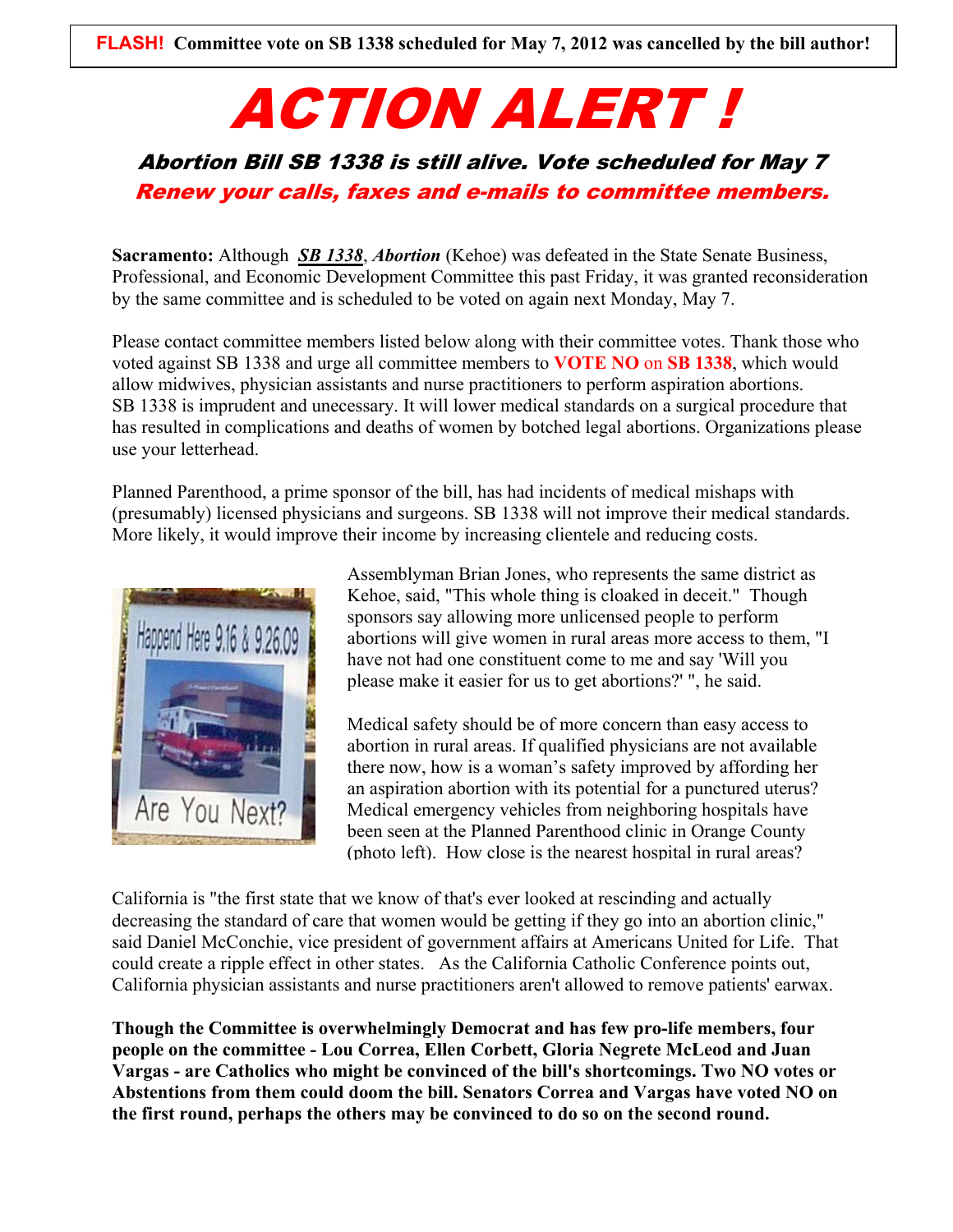## ACTION ALERT !

## Abortion Bill SB 1338 is still alive. Vote scheduled for May 7 Renew your calls, faxes and e-mails to committee members.

**Sacramento:** Although *[SB 1338](http://r20.rs6.net/tn.jsp?e=00136oV8ZSohqgnIuZAxqQ2RpGRA1NxxmMF0FcC_DvgAAoTHIpSmKGY3fM4-JdnACig0EBr75S5gkX7ICoTALVPMiP27JjrzugyXdh8zkQUA0DR0tOW5lhu5gw9-K-AHF8-szX1y_pvuHf_FEJpaUPkYhHbmCmVsDjLryGM4Low-6ErI5R19_5aUA==)*, *Abortion* (Kehoe) was defeated in the State Senate Business, Professional, and Economic Development Committee this past Friday, it was granted reconsideration by the same committee and is scheduled to be voted on again next Monday, May 7.

Please contact committee members listed below along with their committee votes. Thank those who voted against SB 1338 and urge all committee members to **VOTE NO** on **SB 1338**, which would allow midwives, physician assistants and nurse practitioners to perform aspiration abortions. SB 1338 is imprudent and unecessary. It will lower medical standards on a surgical procedure that has resulted in complications and deaths of women by botched legal abortions. Organizations please use your letterhead.

Planned Parenthood, a prime sponsor of the bill, has had incidents of medical mishaps with (presumably) licensed physicians and surgeons. SB 1338 will not improve their medical standards. More likely, it would improve their income by increasing clientele and reducing costs.



Assemblyman Brian Jones, who represents the same district as Kehoe, said, "This whole thing is cloaked in deceit." Though sponsors say allowing more unlicensed people to perform abortions will give women in rural areas more access to them, "I have not had one constituent come to me and say 'Will you please make it easier for us to get abortions?' ", he said.

Medical safety should be of more concern than easy access to abortion in rural areas. If qualified physicians are not available there now, how is a woman's safety improved by affording her an aspiration abortion with its potential for a punctured uterus? Medical emergency vehicles from neighboring hospitals have been seen at the Planned Parenthood clinic in Orange County (photo left). How close is the nearest hospital in rural areas?

California is "the first state that we know of that's ever looked at rescinding and actually decreasing the standard of care that women would be getting if they go into an abortion clinic," said Daniel McConchie, vice president of government affairs at Americans United for Life. That could create a ripple effect in other states. As the California Catholic Conference points out, California physician assistants and nurse practitioners aren't allowed to remove patients' earwax.

**Though the Committee is overwhelmingly Democrat and has few pro-life members, four people on the committee - Lou Correa, Ellen Corbett, Gloria Negrete McLeod and Juan Vargas - are Catholics who might be convinced of the bill's shortcomings. Two NO votes or Abstentions from them could doom the bill. Senators Correa and Vargas have voted NO on the first round, perhaps the others may be convinced to do so on the second round.**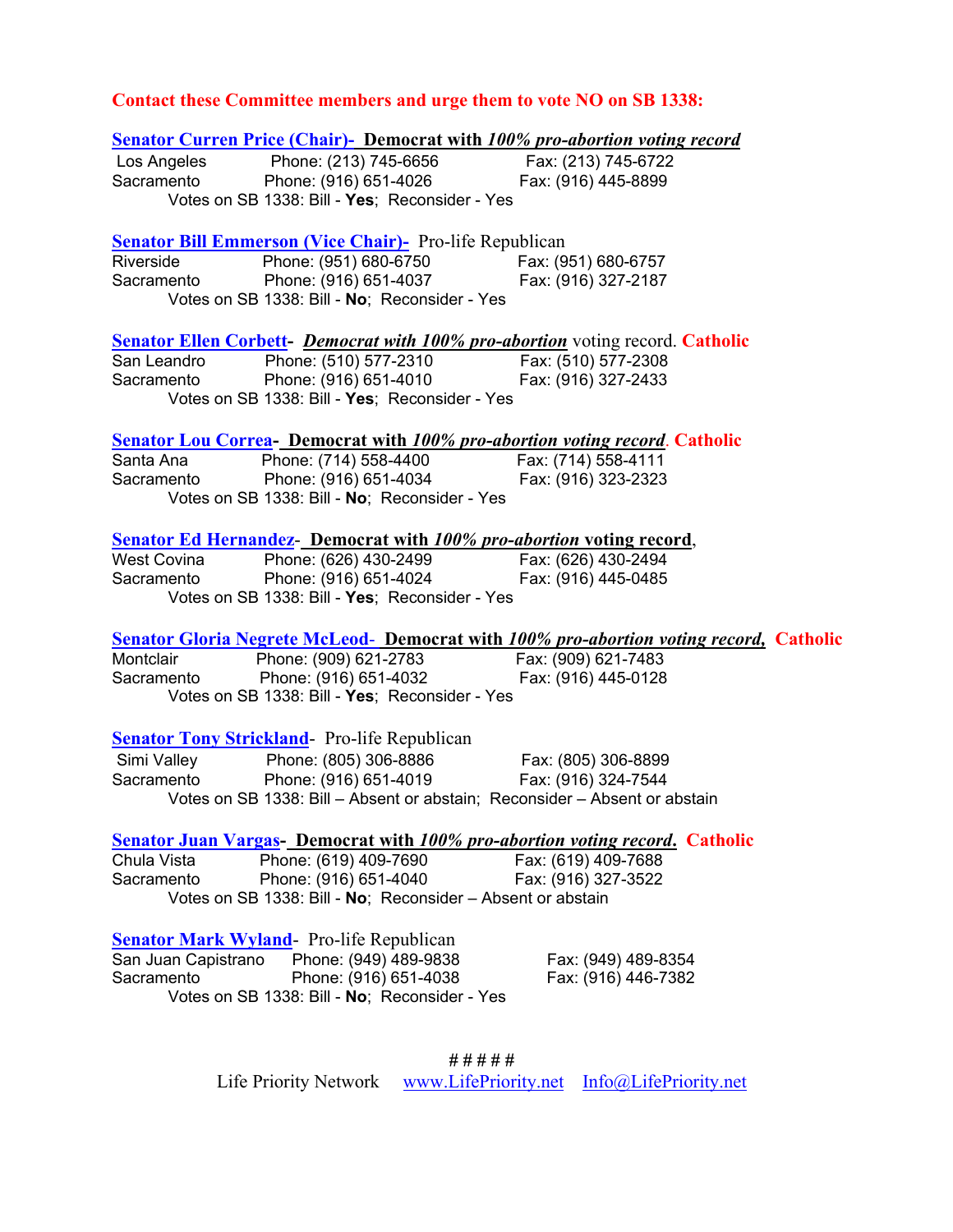## **Contact these Committee members and urge them to vote NO on SB 1338:**

|                     | <b><u>Senator Curren Price (Chair)- Democrat with 100% pro-abortion voting record</u></b>                     |                                                                                               |
|---------------------|---------------------------------------------------------------------------------------------------------------|-----------------------------------------------------------------------------------------------|
|                     | Los Angeles Phone: (213) 745-6656 Fax: (213) 745-6722<br>Sacramento Phone: (916) 651-4026 Fax: (916) 445-8899 |                                                                                               |
|                     |                                                                                                               |                                                                                               |
|                     | Votes on SB 1338: Bill - Yes; Reconsider - Yes                                                                |                                                                                               |
|                     | <b>Senator Bill Emmerson (Vice Chair)</b> Pro-life Republican                                                 |                                                                                               |
| Riverside           |                                                                                                               |                                                                                               |
| Sacramento          | Phone: (951) 680-6750<br>Phone: (916) 651-4037<br>Fax: (916) 327-2187                                         |                                                                                               |
|                     | Votes on SB 1338: Bill - No; Reconsider - Yes                                                                 |                                                                                               |
|                     | <b>Senator Ellen Corbett-</b> <i>Democrat with 100% pro-abortion</i> voting record. Catholic                  |                                                                                               |
|                     |                                                                                                               |                                                                                               |
|                     | San Leandro Phone: (510) 577-2310 Fax: (510) 577-2308<br>Sacramento Phone: (916) 651-4010 Fax: (916) 327-2433 |                                                                                               |
|                     | Votes on SB 1338: Bill - Yes; Reconsider - Yes                                                                |                                                                                               |
|                     | <b>Senator Lou Correa- Democrat with 100% pro-abortion voting record. Catholic</b>                            |                                                                                               |
|                     | Santa Ana Phone: (714) 558-4400 Fax: (714) 558-4111<br>Sacramento Phone: (916) 651-4034 Fax: (916) 323-2323   |                                                                                               |
|                     |                                                                                                               |                                                                                               |
|                     | Votes on SB 1338: Bill - No; Reconsider - Yes                                                                 |                                                                                               |
|                     | <b>Senator Ed Hernandez- Democrat with 100% pro-abortion voting record,</b>                                   |                                                                                               |
|                     | West Covina Phone: (626) 430-2499 Fax: (626) 430-2494<br>Sacramento Phone: (916) 651-4024 Fax: (916) 445-0485 |                                                                                               |
|                     |                                                                                                               |                                                                                               |
|                     | Votes on SB 1338: Bill - Yes; Reconsider - Yes                                                                |                                                                                               |
|                     |                                                                                                               | <b>Senator Gloria Negrete McLeod- Democrat with 100% pro-abortion voting record, Catholic</b> |
|                     | Montclair Phone: (909) 621-2783 Fax: (909) 621-7483<br>Sacramento Phone: (916) 651-4032 Fax: (916) 445-0128   |                                                                                               |
|                     |                                                                                                               |                                                                                               |
|                     | Votes on SB 1338: Bill - Yes; Reconsider - Yes                                                                |                                                                                               |
|                     | <b>Senator Tony Strickland</b> Pro-life Republican                                                            |                                                                                               |
|                     |                                                                                                               |                                                                                               |
|                     | Simi Valley Phone: (805) 306-8886 Fax: (805) 306-8899<br>Sacramento Phone: (916) 651-4019 Fax: (916) 324-7544 |                                                                                               |
|                     | Votes on SB 1338: Bill - Absent or abstain; Reconsider - Absent or abstain                                    |                                                                                               |
|                     | <b><u>Senator Juan Vargas-Democrat with 100% pro-abortion voting record.</u> Catholic</b>                     |                                                                                               |
| Chula Vista         | Phone: (619) 409-7690                                                                                         | Fax: (619) 409-7688                                                                           |
| Sacramento          | Phone: (916) 651-4040                                                                                         | Fax: (916) 327-3522                                                                           |
|                     | Votes on SB 1338: Bill - No; Reconsider - Absent or abstain                                                   |                                                                                               |
|                     | <b>Senator Mark Wyland</b> Pro-life Republican                                                                |                                                                                               |
| San Juan Capistrano | Phone: (949) 489-9838                                                                                         | Fax: (949) 489-8354                                                                           |
| Sacramento          | Phone: (916) 651-4038                                                                                         | Fax: (916) 446-7382                                                                           |
|                     | Votes on SB 1338: Bill - No; Reconsider - Yes                                                                 |                                                                                               |

**# # # # #**  Life Priority Network [www.LifePriority.net](http://www.lifepriority.net/) [Info@LifePriority.net](mailto:Info@LifePriority.net)